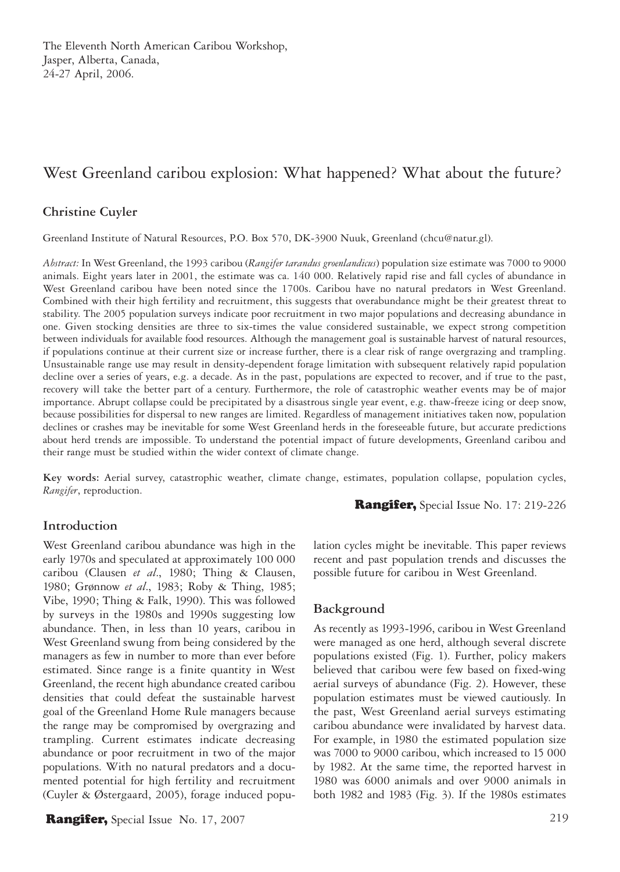# West Greenland caribou explosion: What happened? What about the future?

# **Christine Cuyler**

Greenland Institute of Natural Resources, P.O. Box 570, DK-3900 Nuuk, Greenland (chcu@natur.gl).

*Abstract:* In West Greenland, the 1993 caribou (*Rangifer tarandus groenlandicus*) population size estimate was 7000 to 9000 animals. Eight years later in 2001, the estimate was ca. 140 000. Relatively rapid rise and fall cycles of abundance in West Greenland caribou have been noted since the 1700s. Caribou have no natural predators in West Greenland. Combined with their high fertility and recruitment, this suggests that overabundance might be their greatest threat to stability. The 2005 population surveys indicate poor recruitment in two major populations and decreasing abundance in one. Given stocking densities are three to six-times the value considered sustainable, we expect strong competition between individuals for available food resources. Although the management goal is sustainable harvest of natural resources, if populations continue at their current size or increase further, there is a clear risk of range overgrazing and trampling. Unsustainable range use may result in density-dependent forage limitation with subsequent relatively rapid population decline over a series of years, e.g. a decade. As in the past, populations are expected to recover, and if true to the past, recovery will take the better part of a century. Furthermore, the role of catastrophic weather events may be of major importance. Abrupt collapse could be precipitated by a disastrous single year event, e.g. thaw-freeze icing or deep snow, because possibilities for dispersal to new ranges are limited. Regardless of management initiatives taken now, population declines or crashes may be inevitable for some West Greenland herds in the foreseeable future, but accurate predictions about herd trends are impossible. To understand the potential impact of future developments, Greenland caribou and their range must be studied within the wider context of climate change.

**Key words:** Aerial survey, catastrophic weather, climate change, estimates, population collapse, population cycles, *Rangifer*, reproduction.

Rangifer, Special Issue No. 17: 219-226

# **Introduction**

West Greenland caribou abundance was high in the early 1970s and speculated at approximately 100 000 caribou (Clausen *et al*., 1980; Thing & Clausen, 1980; Grønnow *et al*., 1983; Roby & Thing, 1985; Vibe, 1990; Thing & Falk, 1990). This was followed by surveys in the 1980s and 1990s suggesting low abundance. Then, in less than 10 years, caribou in West Greenland swung from being considered by the managers as few in number to more than ever before estimated. Since range is a finite quantity in West Greenland, the recent high abundance created caribou densities that could defeat the sustainable harvest goal of the Greenland Home Rule managers because the range may be compromised by overgrazing and trampling. Current estimates indicate decreasing abundance or poor recruitment in two of the major populations. With no natural predators and a documented potential for high fertility and recruitment (Cuyler & Østergaard, 2005), forage induced popu-

**Rangifer,** Special Issue No. 17, 2007 219

lation cycles might be inevitable. This paper reviews recent and past population trends and discusses the possible future for caribou in West Greenland.

### **Background**

As recently as 1993-1996, caribou in West Greenland were managed as one herd, although several discrete populations existed (Fig. 1). Further, policy makers believed that caribou were few based on fixed-wing aerial surveys of abundance (Fig. 2). However, these population estimates must be viewed cautiously. In the past, West Greenland aerial surveys estimating caribou abundance were invalidated by harvest data. For example, in 1980 the estimated population size was 7000 to 9000 caribou, which increased to 15 000 by 1982. At the same time, the reported harvest in 1980 was 6000 animals and over 9000 animals in both 1982 and 1983 (Fig. 3). If the 1980s estimates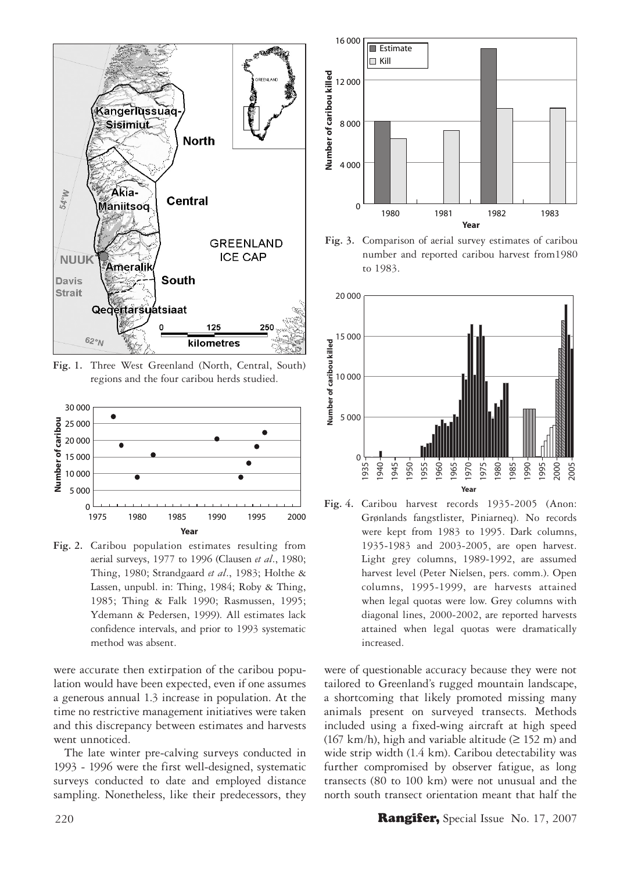

**Fig. 1.** Three West Greenland (North, Central, South) regions and the four caribou herds studied.



**Fig. 2.** Caribou population estimates resulting from aerial surveys, 1977 to 1996 (Clausen *et al*., 1980; Thing, 1980; Strandgaard *et al*., 1983; Holthe & Lassen, unpubl. in: Thing, 1984; Roby & Thing, 1985; Thing & Falk 1990; Rasmussen, 1995; Ydemann & Pedersen, 1999). All estimates lack confidence intervals, and prior to 1993 systematic method was absent.

were accurate then extirpation of the caribou population would have been expected, even if one assumes a generous annual 1.3 increase in population. At the time no restrictive management initiatives were taken and this discrepancy between estimates and harvests went unnoticed.

The late winter pre-calving surveys conducted in 1993 - 1996 were the first well-designed, systematic surveys conducted to date and employed distance sampling. Nonetheless, like their predecessors, they



**Fig. 3.** Comparison of aerial survey estimates of caribou number and reported caribou harvest from1980 to 1983.



**Fig. 4.** Caribou harvest records 1935-2005 (Anon: Grønlands fangstlister, Piniarneq). No records were kept from 1983 to 1995. Dark columns, 1935-1983 and 2003-2005, are open harvest. Light grey columns, 1989-1992, are assumed harvest level (Peter Nielsen, pers. comm.). Open columns, 1995-1999, are harvests attained when legal quotas were low. Grey columns with diagonal lines, 2000-2002, are reported harvests attained when legal quotas were dramatically increased.

were of questionable accuracy because they were not tailored to Greenland's rugged mountain landscape, a shortcoming that likely promoted missing many animals present on surveyed transects. Methods included using a fixed-wing aircraft at high speed (167 km/h), high and variable altitude ( $\geq$  152 m) and wide strip width (1.4 km). Caribou detectability was further compromised by observer fatigue, as long transects (80 to 100 km) were not unusual and the north south transect orientation meant that half the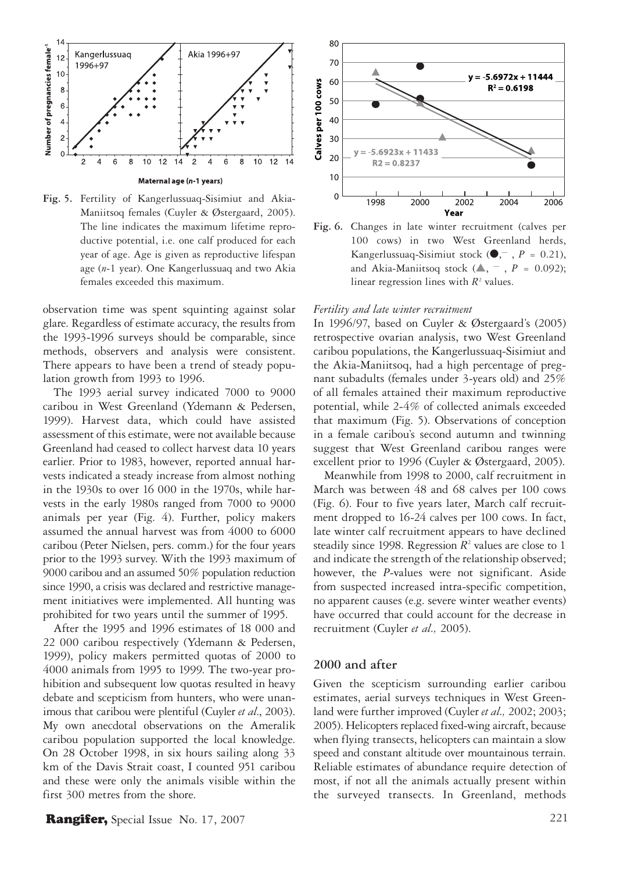

Maniitsoq females (Cuyler & Østergaard, 2005). The line indicates the maximum lifetime reproductive potential, i.e. one calf produced for each year of age. Age is given as reproductive lifespan age (*n*-1 year). One Kangerlussuaq and two Akia females exceeded this maximum.

observation time was spent squinting against solar glare. Regardless of estimate accuracy, the results from the 1993-1996 surveys should be comparable, since methods, observers and analysis were consistent. There appears to have been a trend of steady population growth from 1993 to 1996.

The 1993 aerial survey indicated 7000 to 9000 caribou in West Greenland (Ydemann & Pedersen, 1999). Harvest data, which could have assisted assessment of this estimate, were not available because Greenland had ceased to collect harvest data 10 years earlier. Prior to 1983, however, reported annual harvests indicated a steady increase from almost nothing in the 1930s to over 16 000 in the 1970s, while harvests in the early 1980s ranged from 7000 to 9000 animals per year (Fig. 4). Further, policy makers assumed the annual harvest was from 4000 to 6000 caribou (Peter Nielsen, pers. comm.) for the four years prior to the 1993 survey. With the 1993 maximum of 9000 caribou and an assumed 50% population reduction since 1990, a crisis was declared and restrictive management initiatives were implemented. All hunting was prohibited for two years until the summer of 1995.

After the 1995 and 1996 estimates of 18 000 and 22 000 caribou respectively (Ydemann & Pedersen, 1999), policy makers permitted quotas of 2000 to 4000 animals from 1995 to 1999. The two-year prohibition and subsequent low quotas resulted in heavy debate and scepticism from hunters, who were unanimous that caribou were plentiful (Cuyler *et al*., 2003). My own anecdotal observations on the Ameralik caribou population supported the local knowledge. On 28 October 1998, in six hours sailing along 33 km of the Davis Strait coast, I counted 951 caribou and these were only the animals visible within the first 300 metres from the shore.



**Fig. 6.** Changes in late winter recruitment (calves per 100 cows) in two West Greenland herds, Kangerlussuaq-Sisimiut stock (●, — , *P* = 0.21), and Akia-Maniitsoq stock  $(\triangle, -$ ,  $P = 0.092)$ ; linear regression lines with  $R<sup>2</sup>$  values.

#### *Fertility and late winter recruitment*

In 1996/97, based on Cuyler & Østergaard's (2005) retrospective ovarian analysis, two West Greenland caribou populations, the Kangerlussuaq-Sisimiut and the Akia-Maniitsoq, had a high percentage of pregnant subadults (females under 3-years old) and 25% of all females attained their maximum reproductive potential, while 2-4% of collected animals exceeded that maximum (Fig. 5). Observations of conception in a female caribou's second autumn and twinning suggest that West Greenland caribou ranges were excellent prior to 1996 (Cuyler & Østergaard, 2005).

Meanwhile from 1998 to 2000, calf recruitment in March was between 48 and 68 calves per 100 cows (Fig. 6). Four to five years later, March calf recruitment dropped to 16-24 calves per 100 cows. In fact, late winter calf recruitment appears to have declined steadily since 1998. Regression  $R^2$  values are close to 1 and indicate the strength of the relationship observed; however, the *P*-values were not significant. Aside from suspected increased intra-specific competition, no apparent causes (e.g. severe winter weather events) have occurred that could account for the decrease in recruitment (Cuyler *et al.,* 2005).

#### **2000 and after**

Given the scepticism surrounding earlier caribou estimates, aerial surveys techniques in West Greenland were further improved (Cuyler *et al.,* 2002; 2003; 2005). Helicopters replaced fixed-wing aircraft, because when flying transects, helicopters can maintain a slow speed and constant altitude over mountainous terrain. Reliable estimates of abundance require detection of most, if not all the animals actually present within the surveyed transects. In Greenland, methods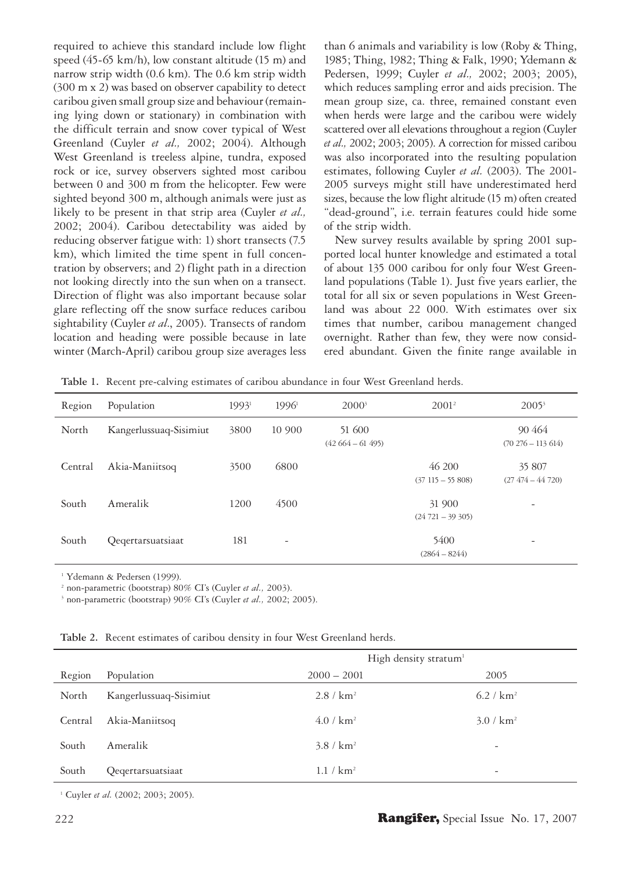required to achieve this standard include low flight speed (45-65 km/h), low constant altitude (15 m) and narrow strip width (0.6 km). The 0.6 km strip width (300 m x 2) was based on observer capability to detect caribou given small group size and behaviour (remaining lying down or stationary) in combination with the difficult terrain and snow cover typical of West Greenland (Cuyler *et al.,* 2002; 2004). Although West Greenland is treeless alpine, tundra, exposed rock or ice, survey observers sighted most caribou between 0 and 300 m from the helicopter. Few were sighted beyond 300 m, although animals were just as likely to be present in that strip area (Cuyler *et al.,* 2002; 2004). Caribou detectability was aided by reducing observer fatigue with: 1) short transects (7.5 km), which limited the time spent in full concentration by observers; and 2) flight path in a direction not looking directly into the sun when on a transect. Direction of flight was also important because solar glare reflecting off the snow surface reduces caribou sightability (Cuyler *et al*., 2005). Transects of random location and heading were possible because in late winter (March-April) caribou group size averages less than 6 animals and variability is low (Roby & Thing, 1985; Thing, 1982; Thing & Falk, 1990; Ydemann & Pedersen, 1999; Cuyler *et al.,* 2002; 2003; 2005), which reduces sampling error and aids precision. The mean group size, ca. three, remained constant even when herds were large and the caribou were widely scattered over all elevations throughout a region (Cuyler *et al.,* 2002; 2003; 2005). A correction for missed caribou was also incorporated into the resulting population estimates, following Cuyler *et al.* (2003). The 2001- 2005 surveys might still have underestimated herd sizes, because the low flight altitude (15 m) often created "dead-ground", i.e. terrain features could hide some of the strip width.

New survey results available by spring 2001 supported local hunter knowledge and estimated a total of about 135 000 caribou for only four West Greenland populations (Table 1). Just five years earlier, the total for all six or seven populations in West Greenland was about 22 000. With estimates over six times that number, caribou management changed overnight. Rather than few, they were now considered abundant. Given the finite range available in

**Table 1.** Recent pre-calving estimates of caribou abundance in four West Greenland herds.

| Region  | Population             | $1993^1$ | $1996^{\mathrm{i}}$      | $2000^3$                    | $2001^2$                    | $2005^3$                        |
|---------|------------------------|----------|--------------------------|-----------------------------|-----------------------------|---------------------------------|
| North   | Kangerlussuaq-Sisimiut | 3800     | 10 900                   | 51 600<br>$(42664 - 61495)$ |                             | 90464<br>$(70\ 276 - 113\ 614)$ |
| Central | Akia-Maniitsoq         | 3500     | 6800                     |                             | 46 200<br>$(37115 - 55808)$ | 35 807<br>$(27\ 474 - 44\ 720)$ |
| South   | Ameralik               | 1200     | 4500                     |                             | 31 900<br>$(24721 - 39305)$ | $\overline{a}$                  |
| South   | Qeqertarsuatsiaat      | 181      | $\overline{\phantom{a}}$ |                             | 5400<br>$(2864 - 8244)$     |                                 |

1 Ydemann & Pedersen (1999).

2 non-parametric (bootstrap) 80% CI's (Cuyler *et al.,* 2003).

3 non-parametric (bootstrap) 90% CI's (Cuyler *et al.,* 2002; 2005).

**Table 2.** Recent estimates of caribou density in four West Greenland herds.

|         |                        |                       | High density stratum <sup>1</sup> |  |  |
|---------|------------------------|-----------------------|-----------------------------------|--|--|
| Region  | Population             | $2000 - 2001$         | 2005                              |  |  |
| North   | Kangerlussuaq-Sisimiut | 2.8 / km <sup>2</sup> | 6.2 / $km^2$                      |  |  |
| Central | Akia-Maniitsoq         | 4.0 / km <sup>2</sup> | 3.0 / km <sup>2</sup>             |  |  |
| South   | Ameralik               | 3.8 / km <sup>2</sup> | $\overline{\phantom{0}}$          |  |  |
| South   | Qeqertarsuatsiaat      | 1.1 / km <sup>2</sup> | $\overline{\phantom{0}}$          |  |  |

<sup>1</sup> Cuyler et al. (2002; 2003; 2005).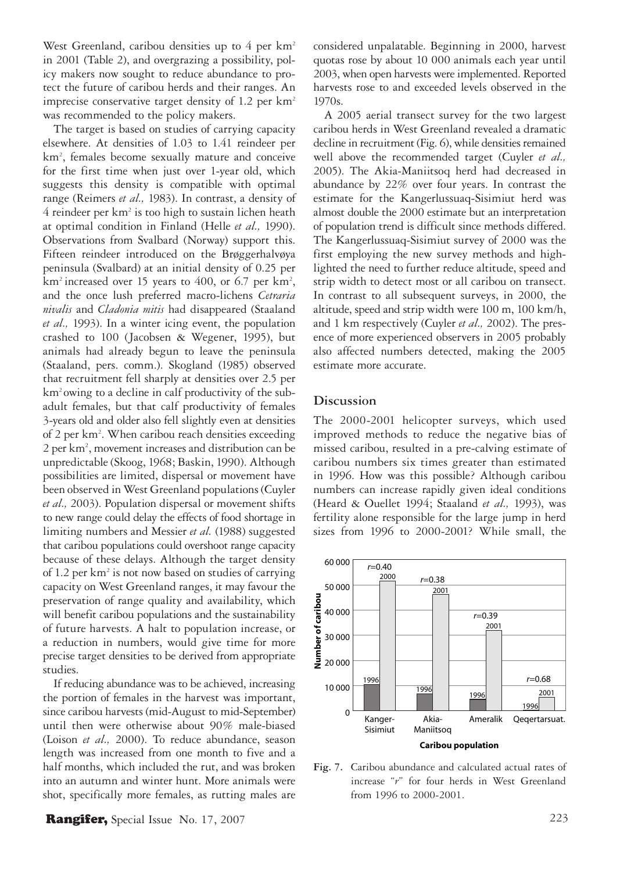West Greenland, caribou densities up to 4 per km<sup>2</sup> in 2001 (Table 2), and overgrazing a possibility, policy makers now sought to reduce abundance to protect the future of caribou herds and their ranges. An imprecise conservative target density of 1.2 per  $km<sup>2</sup>$ was recommended to the policy makers.

The target is based on studies of carrying capacity elsewhere. At densities of 1.03 to 1.41 reindeer per km2 , females become sexually mature and conceive for the first time when just over 1-year old, which suggests this density is compatible with optimal range (Reimers *et al.,* 1983). In contrast, a density of 4 reindeer per km<sup>2</sup> is too high to sustain lichen heath at optimal condition in Finland (Helle *et al.,* 1990). Observations from Svalbard (Norway) support this. Fifteen reindeer introduced on the Brøggerhalvøya peninsula (Svalbard) at an initial density of 0.25 per  $km<sup>2</sup>$  increased over 15 years to 400, or 6.7 per  $km<sup>2</sup>$ , and the once lush preferred macro-lichens *Cetraria nivalis* and *Cladonia mitis* had disappeared (Staaland *et al.,* 1993). In a winter icing event, the population crashed to 100 (Jacobsen & Wegener, 1995), but animals had already begun to leave the peninsula (Staaland, pers. comm.). Skogland (1985) observed that recruitment fell sharply at densities over 2.5 per km2 owing to a decline in calf productivity of the subadult females, but that calf productivity of females 3-years old and older also fell slightly even at densities of 2 per km<sup>2</sup>. When caribou reach densities exceeding 2 per km<sup>2</sup>, movement increases and distribution can be unpredictable (Skoog, 1968; Baskin, 1990). Although possibilities are limited, dispersal or movement have been observed in West Greenland populations (Cuyler *et al.,* 2003). Population dispersal or movement shifts to new range could delay the effects of food shortage in limiting numbers and Messier *et al.* (1988) suggested that caribou populations could overshoot range capacity because of these delays. Although the target density of 1.2 per km<sup>2</sup> is not now based on studies of carrying capacity on West Greenland ranges, it may favour the preservation of range quality and availability, which will benefit caribou populations and the sustainability of future harvests. A halt to population increase, or a reduction in numbers, would give time for more precise target densities to be derived from appropriate studies.

If reducing abundance was to be achieved, increasing the portion of females in the harvest was important, since caribou harvests (mid-August to mid-September) until then were otherwise about 90% male-biased (Loison *et al.,* 2000). To reduce abundance, season length was increased from one month to five and a half months, which included the rut, and was broken into an autumn and winter hunt. More animals were shot, specifically more females, as rutting males are

**Rangifer,** Special Issue No. 17, 2007 223

considered unpalatable. Beginning in 2000, harvest quotas rose by about 10 000 animals each year until 2003, when open harvests were implemented. Reported harvests rose to and exceeded levels observed in the 1970s.

A 2005 aerial transect survey for the two largest caribou herds in West Greenland revealed a dramatic decline in recruitment (Fig. 6), while densities remained well above the recommended target (Cuyler *et al.,* 2005). The Akia-Maniitsoq herd had decreased in abundance by 22% over four years. In contrast the estimate for the Kangerlussuaq-Sisimiut herd was almost double the 2000 estimate but an interpretation of population trend is difficult since methods differed. The Kangerlussuaq-Sisimiut survey of 2000 was the first employing the new survey methods and highlighted the need to further reduce altitude, speed and strip width to detect most or all caribou on transect. In contrast to all subsequent surveys, in 2000, the altitude, speed and strip width were 100 m, 100 km/h, and 1 km respectively (Cuyler *et al.,* 2002). The presence of more experienced observers in 2005 probably also affected numbers detected, making the 2005 estimate more accurate.

### **Discussion**

The 2000-2001 helicopter surveys, which used improved methods to reduce the negative bias of missed caribou, resulted in a pre-calving estimate of caribou numbers six times greater than estimated in 1996. How was this possible? Although caribou numbers can increase rapidly given ideal conditions (Heard & Ouellet 1994; Staaland *et al.,* 1993), was fertility alone responsible for the large jump in herd sizes from 1996 to 2000-2001? While small, the



**Fig. 7.** Caribou abundance and calculated actual rates of increase "*r*" for four herds in West Greenland from 1996 to 2000-2001.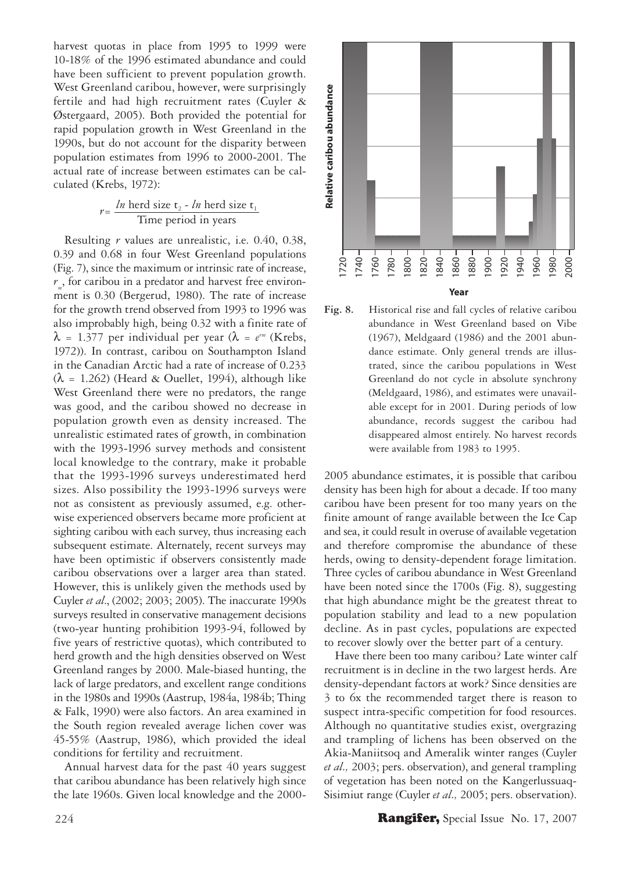harvest quotas in place from 1995 to 1999 were 10-18% of the 1996 estimated abundance and could have been sufficient to prevent population growth. West Greenland caribou, however, were surprisingly fertile and had high recruitment rates (Cuyler & Østergaard, 2005). Both provided the potential for rapid population growth in West Greenland in the 1990s, but do not account for the disparity between population estimates from 1996 to 2000-2001. The actual rate of increase between estimates can be calculated (Krebs, 1972):

$$
r = \frac{ln \text{ herd size } t_2 - ln \text{ herd size } t_1}{Time \text{ period in years}}
$$

Resulting *r* values are unrealistic, i.e. 0.40, 0.38, 0.39 and 0.68 in four West Greenland populations (Fig. 7), since the maximum or intrinsic rate of increase, *rm* , for caribou in a predator and harvest free environment is 0.30 (Bergerud, 1980). The rate of increase for the growth trend observed from 1993 to 1996 was also improbably high, being 0.32 with a finite rate of  $\lambda$  = 1.377 per individual per year ( $\lambda$  =  $e^{rm}$  (Krebs, 1972)). In contrast, caribou on Southampton Island in the Canadian Arctic had a rate of increase of 0.233  $(\lambda = 1.262)$  (Heard & Ouellet, 1994), although like West Greenland there were no predators, the range was good, and the caribou showed no decrease in population growth even as density increased. The unrealistic estimated rates of growth, in combination with the 1993-1996 survey methods and consistent local knowledge to the contrary, make it probable that the 1993-1996 surveys underestimated herd sizes. Also possibility the 1993-1996 surveys were not as consistent as previously assumed, e.g. otherwise experienced observers became more proficient at sighting caribou with each survey, thus increasing each subsequent estimate. Alternately, recent surveys may have been optimistic if observers consistently made caribou observations over a larger area than stated. However, this is unlikely given the methods used by Cuyler *et al*., (2002; 2003; 2005). The inaccurate 1990s surveys resulted in conservative management decisions (two-year hunting prohibition 1993-94, followed by five years of restrictive quotas), which contributed to herd growth and the high densities observed on West Greenland ranges by 2000. Male-biased hunting, the lack of large predators, and excellent range conditions in the 1980s and 1990s (Aastrup, 1984a, 1984b; Thing & Falk, 1990) were also factors. An area examined in the South region revealed average lichen cover was 45-55% (Aastrup, 1986), which provided the ideal conditions for fertility and recruitment.

Annual harvest data for the past 40 years suggest that caribou abundance has been relatively high since the late 1960s. Given local knowledge and the 2000-



**Fig. 8.** Historical rise and fall cycles of relative caribou abundance in West Greenland based on Vibe (1967), Meldgaard (1986) and the 2001 abundance estimate. Only general trends are illustrated, since the caribou populations in West Greenland do not cycle in absolute synchrony (Meldgaard, 1986), and estimates were unavailable except for in 2001. During periods of low abundance, records suggest the caribou had disappeared almost entirely. No harvest records were available from 1983 to 1995.

2005 abundance estimates, it is possible that caribou density has been high for about a decade. If too many caribou have been present for too many years on the finite amount of range available between the Ice Cap and sea, it could result in overuse of available vegetation and therefore compromise the abundance of these herds, owing to density-dependent forage limitation. Three cycles of caribou abundance in West Greenland have been noted since the 1700s (Fig. 8), suggesting that high abundance might be the greatest threat to population stability and lead to a new population decline. As in past cycles, populations are expected to recover slowly over the better part of a century.

Have there been too many caribou? Late winter calf recruitment is in decline in the two largest herds. Are density-dependant factors at work? Since densities are 3 to 6x the recommended target there is reason to suspect intra-specific competition for food resources. Although no quantitative studies exist, overgrazing and trampling of lichens has been observed on the Akia-Maniitsoq and Ameralik winter ranges (Cuyler *et al.,* 2003; pers. observation), and general trampling of vegetation has been noted on the Kangerlussuaq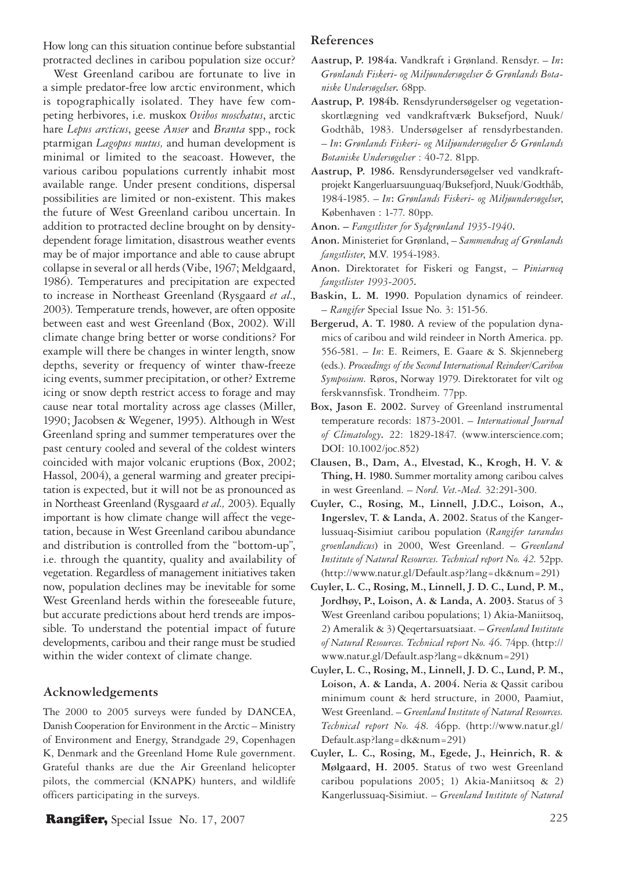How long can this situation continue before substantial protracted declines in caribou population size occur?

West Greenland caribou are fortunate to live in a simple predator-free low arctic environment, which is topographically isolated. They have few competing herbivores, i.e. muskox *Ovibos moschatus*, arctic hare *Lepus arcticus*, geese *Anser* and *Branta* spp., rock ptarmigan *Lagopus mutus,* and human development is minimal or limited to the seacoast. However, the various caribou populations currently inhabit most available range. Under present conditions, dispersal possibilities are limited or non-existent. This makes the future of West Greenland caribou uncertain. In addition to protracted decline brought on by densitydependent forage limitation, disastrous weather events may be of major importance and able to cause abrupt collapse in several or all herds (Vibe, 1967; Meldgaard, 1986). Temperatures and precipitation are expected to increase in Northeast Greenland (Rysgaard *et al*., 2003). Temperature trends, however, are often opposite between east and west Greenland (Box, 2002). Will climate change bring better or worse conditions? For example will there be changes in winter length, snow depths, severity or frequency of winter thaw-freeze icing events, summer precipitation, or other? Extreme icing or snow depth restrict access to forage and may cause near total mortality across age classes (Miller, 1990; Jacobsen & Wegener, 1995). Although in West Greenland spring and summer temperatures over the past century cooled and several of the coldest winters coincided with major volcanic eruptions (Box, 2002; Hassol, 2004), a general warming and greater precipitation is expected, but it will not be as pronounced as in Northeast Greenland (Rysgaard *et al.,* 2003). Equally important is how climate change will affect the vegetation, because in West Greenland caribou abundance and distribution is controlled from the "bottom-up", i.e. through the quantity, quality and availability of vegetation. Regardless of management initiatives taken now, population declines may be inevitable for some West Greenland herds within the foreseeable future, but accurate predictions about herd trends are impossible. To understand the potential impact of future developments, caribou and their range must be studied within the wider context of climate change.

#### **Acknowledgements**

The 2000 to 2005 surveys were funded by DANCEA, Danish Cooperation for Environment in the Arctic – Ministry of Environment and Energy, Strandgade 29, Copenhagen K, Denmark and the Greenland Home Rule government. Grateful thanks are due the Air Greenland helicopter pilots, the commercial (KNAPK) hunters, and wildlife officers participating in the surveys.

# **Rangifer,** Special Issue No. 17, 2007 225

### **References**

- **Aastrup, P. 1984a.** Vandkraft i Grønland. Rensdyr. *In***:**  *Grønlands Fiskeri- og Miljøundersøgelser & Grønlands Botaniske Undersøgelser***.** 68pp.
- **Aastrup, P. 1984b.** Rensdyrundersøgelser og vegetationskortlægning ved vandkraftværk Buksefjord, Nuuk/ Godthåb, 1983. Undersøgelser af rensdyrbestanden. – *In***:** *Grønlands Fiskeri- og Miljøundersøgelser & Grønlands Botaniske Undersøgelser* : 40-72. 81pp.
- **Aastrup, P. 1986.** Rensdyrundersøgelser ved vandkraftprojekt Kangerluarsuunguaq/Buksefjord, Nuuk/Godthåb, 1984-1985. – *In***:** *Grønlands Fiskeri- og Miljøundersøgelser*, Københaven : 1-77. 80pp.
- **Anon.** *Fangstlister for Sydgrønland 1935-1940***.**
- **Anon.** Ministeriet for Grønland, *Sammendrag af Grønlands fangstlister*, M.V. 1954-1983.
- **Anon.** Direktoratet for Fiskeri og Fangst, *Piniarneq fangstlister 1993-2005***.**
- **Baskin, L. M. 1990.** Population dynamics of reindeer. – *Rangifer* Special Issue No. 3: 151-56.
- **Bergerud, A. T. 1980.** A review of the population dynamics of caribou and wild reindeer in North America. pp. 556-581. – *In*: E. Reimers, E. Gaare & S. Skjenneberg (eds.). *Proceedings of the Second International Reindeer/Caribou Symposium.* Røros, Norway 1979. Direktoratet for vilt og ferskvannsfisk. Trondheim. 77pp.
- **Box, Jason E. 2002.** Survey of Greenland instrumental temperature records: 1873-2001. – *International Journal of Climatology***.** 22: 1829-1847. (www.interscience.com; DOI: 10.1002/joc.852)
- **Clausen, B., Dam, A., Elvestad, K., Krogh, H. V. & Thing, H. 1980.** Summer mortality among caribou calves in west Greenland. – *Nord. Vet.-Med.* 32:291-300.
- **Cuyler, C., Rosing, M., Linnell, J.D.C., Loison, A., Ingerslev, T. & Landa, A. 2002.** Status of the Kangerlussuaq-Sisimiut caribou population (*Rangifer tarandus groenlandicus*) in 2000, West Greenland. – *Greenland Institute of Natural Resources. Technical report No. 42.* 52pp. (http://www.natur.gl/Default.asp?lang=dk&num=291)
- **Cuyler, L. C., Rosing, M., Linnell, J. D. C., Lund, P. M., Jordhøy, P., Loison, A. & Landa, A. 2003.** Status of 3 West Greenland caribou populations; 1) Akia-Maniitsoq, 2) Ameralik & 3) Qeqertarsuatsiaat. – *Greenland Institute of Natural Resources. Technical report No. 46.* 74pp. (http:// www.natur.gl/Default.asp?lang=dk&num=291)
- **Cuyler, L. C., Rosing, M., Linnell, J. D. C., Lund, P. M., Loison, A. & Landa, A. 2004.** Neria & Qassit caribou minimum count & herd structure, in 2000, Paamiut, West Greenland. – *Greenland Institute of Natural Resources. Technical report No. 48.* 46pp. (http://www.natur.gl/ Default.asp?lang=dk&num=291)
- **Cuyler, L. C., Rosing, M., Egede, J., Heinrich, R. & Mølgaard, H. 2005.** Status of two west Greenland caribou populations 2005; 1) Akia-Maniitsoq & 2) Kangerlussuaq-Sisimiut. – *Greenland Institute of Natural*